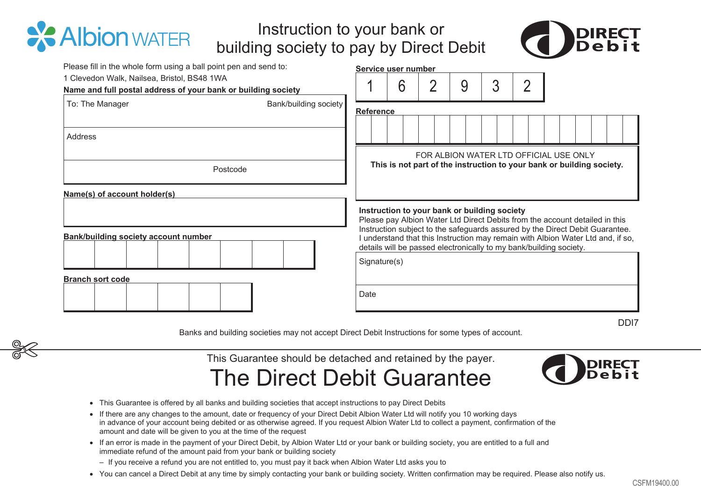## Instruction to your bank or Instruction to your bank or building society to pay by Direct Debit building society to pay by Direct Debit



| Please fill in the whole form using a ball point pen and send to:<br>1 Clevedon Walk, Nailsea, Bristol, BS48 1WA<br>Name and full postal address of your bank or building society                                                                                                                                                                                                                                                                                   | Service user number<br>3<br>6<br>9<br>$\overline{2}$<br>2                                                                                                                                                                                                                                                                                                                            |  |  |
|---------------------------------------------------------------------------------------------------------------------------------------------------------------------------------------------------------------------------------------------------------------------------------------------------------------------------------------------------------------------------------------------------------------------------------------------------------------------|--------------------------------------------------------------------------------------------------------------------------------------------------------------------------------------------------------------------------------------------------------------------------------------------------------------------------------------------------------------------------------------|--|--|
| Bank/building society<br>To: The Manager                                                                                                                                                                                                                                                                                                                                                                                                                            | Reference                                                                                                                                                                                                                                                                                                                                                                            |  |  |
| Address                                                                                                                                                                                                                                                                                                                                                                                                                                                             | FOR ALBION WATER LTD OFFICIAL USE ONLY                                                                                                                                                                                                                                                                                                                                               |  |  |
| Postcode                                                                                                                                                                                                                                                                                                                                                                                                                                                            | This is not part of the instruction to your bank or building society.                                                                                                                                                                                                                                                                                                                |  |  |
| Name(s) of account holder(s)                                                                                                                                                                                                                                                                                                                                                                                                                                        |                                                                                                                                                                                                                                                                                                                                                                                      |  |  |
| Bank/building society account number                                                                                                                                                                                                                                                                                                                                                                                                                                | Instruction to your bank or building society<br>Please pay Albion Water Ltd Direct Debits from the account detailed in this<br>Instruction subject to the safeguards assured by the Direct Debit Guarantee.<br>I understand that this Instruction may remain with Albion Water Ltd and, if so,<br>details will be passed electronically to my bank/building society.<br>Signature(s) |  |  |
| <b>Branch sort code</b>                                                                                                                                                                                                                                                                                                                                                                                                                                             | Date                                                                                                                                                                                                                                                                                                                                                                                 |  |  |
|                                                                                                                                                                                                                                                                                                                                                                                                                                                                     | DD <sub>17</sub><br>Banks and building societies may not accept Direct Debit Instructions for some types of account.                                                                                                                                                                                                                                                                 |  |  |
| • This Guarantee is offered by all banks and building societies that accept instructions to pay Direct Debits<br>• If there are any changes to the amount, date or frequency of your Direct Debit Albion Water Ltd will notify you 10 working days<br>in advance of your account being debited or as otherwise agreed. If you request Albion Water Ltd to collect a payment, confirmation of the<br>amount and date will be given to you at the time of the request | This Guarantee should be detached and retained by the payer.<br>The Direct Debit Guarantee                                                                                                                                                                                                                                                                                           |  |  |
| • If an error is made in the payment of your Direct Debit, by Albion Water Ltd or your bank or building society, you are entitled to a full and<br>immediate refund of the amount paid from your bank or building society                                                                                                                                                                                                                                           |                                                                                                                                                                                                                                                                                                                                                                                      |  |  |
| - If you receive a refund you are not entitled to, you must pay it back when Albion Water Ltd asks you to                                                                                                                                                                                                                                                                                                                                                           | . You can cancel a Direct Debit at any time by simply contacting your bank or building society. Written confirmation may be required. Please also notify us.                                                                                                                                                                                                                         |  |  |

## The Direct Debit Guarantee The Direct Debit Guarantee



**X** Albion WATER

- This Guarantee is offered by all banks and building societies that accept instructions to pay Direct Debits<br>▪ If there are any changes to the amount, date or frequency of your Direct Debit Albion Water Ltd will notify y in advance of your account being debited or as otherwise agreed. If you request Albion Water Ltd to collect a payment, confirmation of the in advance of your account being debited or as otherwise agreed. If you request Albion Water Ltd to collect a payment, confirmation of th<br>amount and date will be given to you at the time of the request
- If an error is made in the payment of your Direct Debit, by Albion Water Ltd or your bank or building society, you are entitled to a full and<br>immediate refund of the amount paid from your bank or building society immediate refund of the amount paid from your bank or building society
- If you receive a refund you are not entitled to, you must pay it back when Albion Water Ltd asks you to
- You can cancel a Direct Debit at any time by simply contacting your bank or building society. Written confirmation may be required. Please also notify us.